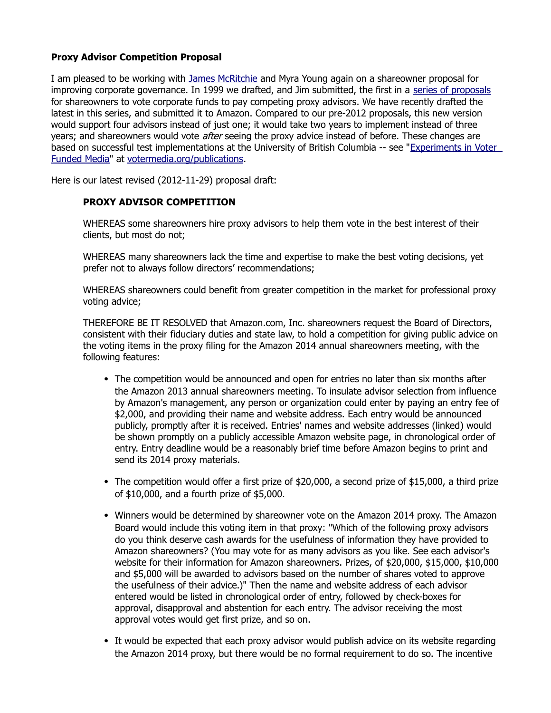## **Proxy Advisor Competition Proposal**

I am pleased to be working with [James McRitchie](http://corpgov.proxyexchange.org/files/2009/03/AboutMcRitchie.pdf) and Myra Young again on a shareowner proposal for improving corporate governance. In 1999 we drafted, and Jim submitted, the first in a [series of proposals](http://votermedia.org/proposals) for shareowners to vote corporate funds to pay competing proxy advisors. We have recently drafted the latest in this series, and submitted it to Amazon. Compared to our pre-2012 proposals, this new version would support four advisors instead of just one; it would take two years to implement instead of three years; and shareowners would vote *after* seeing the proxy advice instead of before. These changes are based on successful test implementations at the University of British Columbia -- see ["Experiments in Voter](http://votermedia.org/publications/ExperimentsInVoterFundedMedia.pdf)  [Funded Media"](http://votermedia.org/publications/ExperimentsInVoterFundedMedia.pdf) at [votermedia.org/publications.](http://votermedia.org/publications)

Here is our latest revised (2012-11-29) proposal draft:

## **PROXY ADVISOR COMPETITION**

WHEREAS some shareowners hire proxy advisors to help them vote in the best interest of their clients, but most do not;

WHEREAS many shareowners lack the time and expertise to make the best voting decisions, yet prefer not to always follow directors' recommendations;

WHEREAS shareowners could benefit from greater competition in the market for professional proxy voting advice;

THEREFORE BE IT RESOLVED that Amazon.com, Inc. shareowners request the Board of Directors, consistent with their fiduciary duties and state law, to hold a competition for giving public advice on the voting items in the proxy filing for the Amazon 2014 annual shareowners meeting, with the following features:

- The competition would be announced and open for entries no later than six months after the Amazon 2013 annual shareowners meeting. To insulate advisor selection from influence by Amazon's management, any person or organization could enter by paying an entry fee of \$2,000, and providing their name and website address. Each entry would be announced publicly, promptly after it is received. Entries' names and website addresses (linked) would be shown promptly on a publicly accessible Amazon website page, in chronological order of entry. Entry deadline would be a reasonably brief time before Amazon begins to print and send its 2014 proxy materials.
- The competition would offer a first prize of \$20,000, a second prize of \$15,000, a third prize of \$10,000, and a fourth prize of \$5,000.
- Winners would be determined by shareowner vote on the Amazon 2014 proxy. The Amazon Board would include this voting item in that proxy: "Which of the following proxy advisors do you think deserve cash awards for the usefulness of information they have provided to Amazon shareowners? (You may vote for as many advisors as you like. See each advisor's website for their information for Amazon shareowners. Prizes, of \$20,000, \$15,000, \$10,000 and \$5,000 will be awarded to advisors based on the number of shares voted to approve the usefulness of their advice.)" Then the name and website address of each advisor entered would be listed in chronological order of entry, followed by check-boxes for approval, disapproval and abstention for each entry. The advisor receiving the most approval votes would get first prize, and so on.
- It would be expected that each proxy advisor would publish advice on its website regarding the Amazon 2014 proxy, but there would be no formal requirement to do so. The incentive